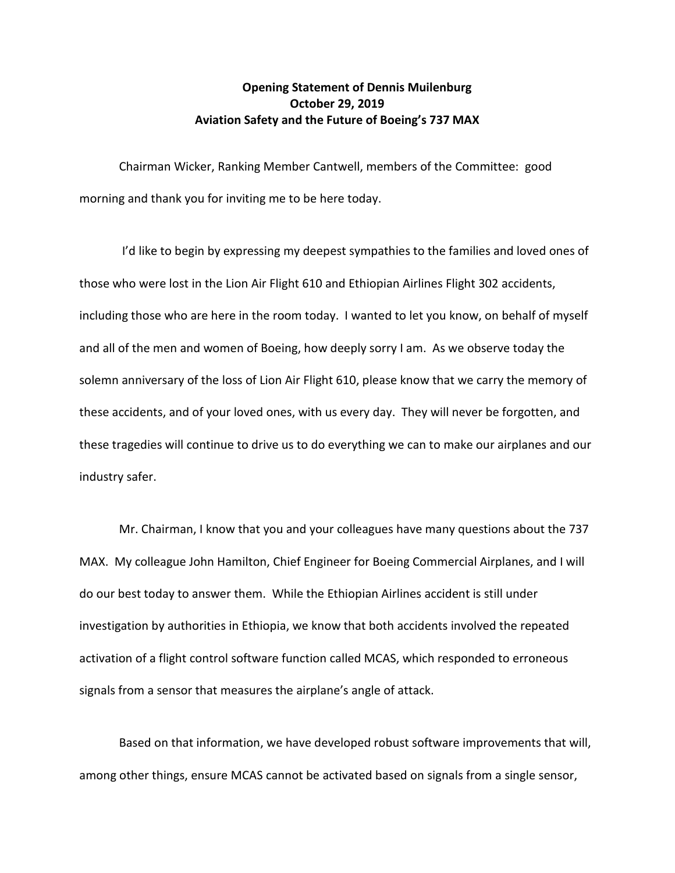## **Opening Statement of Dennis Muilenburg October 29, 2019 Aviation Safety and the Future of Boeing's 737 MAX**

Chairman Wicker, Ranking Member Cantwell, members of the Committee: good morning and thank you for inviting me to be here today.

I'd like to begin by expressing my deepest sympathies to the families and loved ones of those who were lost in the Lion Air Flight 610 and Ethiopian Airlines Flight 302 accidents, including those who are here in the room today. I wanted to let you know, on behalf of myself and all of the men and women of Boeing, how deeply sorry I am. As we observe today the solemn anniversary of the loss of Lion Air Flight 610, please know that we carry the memory of these accidents, and of your loved ones, with us every day. They will never be forgotten, and these tragedies will continue to drive us to do everything we can to make our airplanes and our industry safer.

Mr. Chairman, I know that you and your colleagues have many questions about the 737 MAX. My colleague John Hamilton, Chief Engineer for Boeing Commercial Airplanes, and I will do our best today to answer them. While the Ethiopian Airlines accident is still under investigation by authorities in Ethiopia, we know that both accidents involved the repeated activation of a flight control software function called MCAS, which responded to erroneous signals from a sensor that measures the airplane's angle of attack.

Based on that information, we have developed robust software improvements that will, among other things, ensure MCAS cannot be activated based on signals from a single sensor,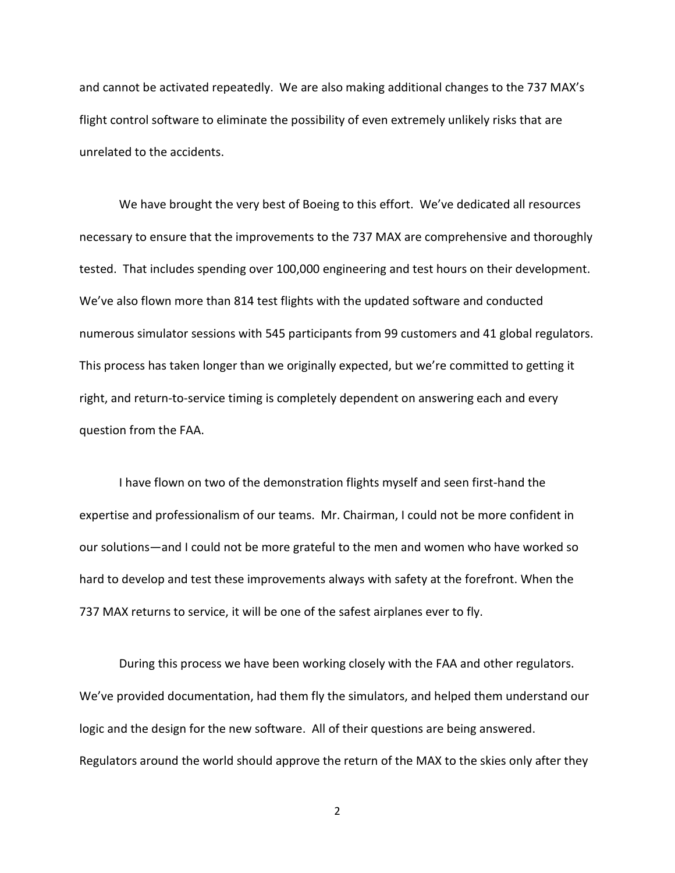and cannot be activated repeatedly. We are also making additional changes to the 737 MAX's flight control software to eliminate the possibility of even extremely unlikely risks that are unrelated to the accidents.

We have brought the very best of Boeing to this effort. We've dedicated all resources necessary to ensure that the improvements to the 737 MAX are comprehensive and thoroughly tested. That includes spending over 100,000 engineering and test hours on their development. We've also flown more than 814 test flights with the updated software and conducted numerous simulator sessions with 545 participants from 99 customers and 41 global regulators. This process has taken longer than we originally expected, but we're committed to getting it right, and return-to-service timing is completely dependent on answering each and every question from the FAA.

I have flown on two of the demonstration flights myself and seen first-hand the expertise and professionalism of our teams. Mr. Chairman, I could not be more confident in our solutions—and I could not be more grateful to the men and women who have worked so hard to develop and test these improvements always with safety at the forefront. When the 737 MAX returns to service, it will be one of the safest airplanes ever to fly.

During this process we have been working closely with the FAA and other regulators. We've provided documentation, had them fly the simulators, and helped them understand our logic and the design for the new software. All of their questions are being answered. Regulators around the world should approve the return of the MAX to the skies only after they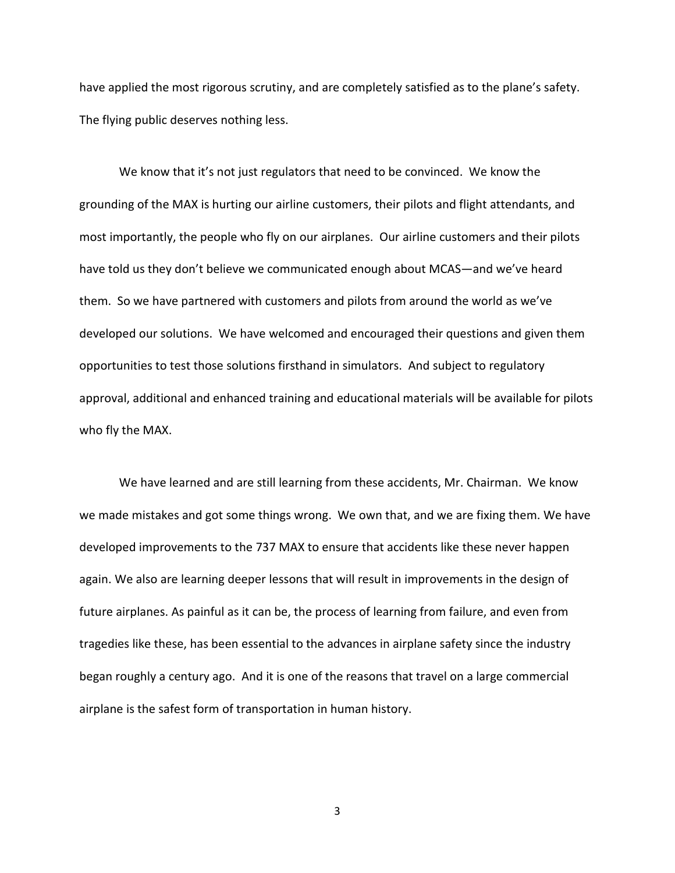have applied the most rigorous scrutiny, and are completely satisfied as to the plane's safety. The flying public deserves nothing less.

We know that it's not just regulators that need to be convinced. We know the grounding of the MAX is hurting our airline customers, their pilots and flight attendants, and most importantly, the people who fly on our airplanes. Our airline customers and their pilots have told us they don't believe we communicated enough about MCAS—and we've heard them. So we have partnered with customers and pilots from around the world as we've developed our solutions. We have welcomed and encouraged their questions and given them opportunities to test those solutions firsthand in simulators. And subject to regulatory approval, additional and enhanced training and educational materials will be available for pilots who fly the MAX.

We have learned and are still learning from these accidents, Mr. Chairman. We know we made mistakes and got some things wrong. We own that, and we are fixing them. We have developed improvements to the 737 MAX to ensure that accidents like these never happen again. We also are learning deeper lessons that will result in improvements in the design of future airplanes. As painful as it can be, the process of learning from failure, and even from tragedies like these, has been essential to the advances in airplane safety since the industry began roughly a century ago. And it is one of the reasons that travel on a large commercial airplane is the safest form of transportation in human history.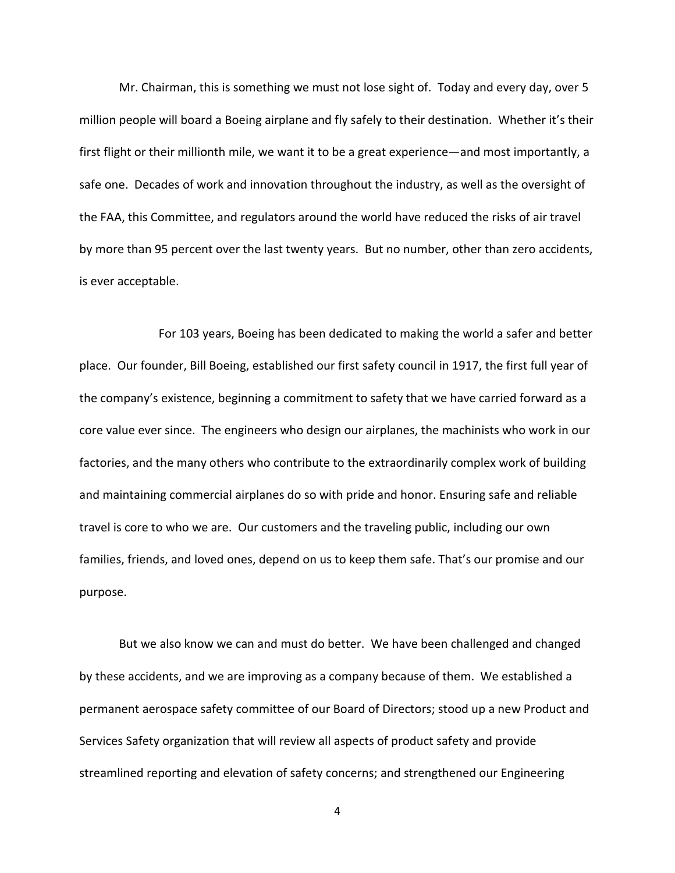Mr. Chairman, this is something we must not lose sight of. Today and every day, over 5 million people will board a Boeing airplane and fly safely to their destination. Whether it's their first flight or their millionth mile, we want it to be a great experience—and most importantly, a safe one. Decades of work and innovation throughout the industry, as well as the oversight of the FAA, this Committee, and regulators around the world have reduced the risks of air travel by more than 95 percent over the last twenty years. But no number, other than zero accidents, is ever acceptable.

For 103 years, Boeing has been dedicated to making the world a safer and better place. Our founder, Bill Boeing, established our first safety council in 1917, the first full year of the company's existence, beginning a commitment to safety that we have carried forward as a core value ever since. The engineers who design our airplanes, the machinists who work in our factories, and the many others who contribute to the extraordinarily complex work of building and maintaining commercial airplanes do so with pride and honor. Ensuring safe and reliable travel is core to who we are. Our customers and the traveling public, including our own families, friends, and loved ones, depend on us to keep them safe. That's our promise and our purpose.

But we also know we can and must do better. We have been challenged and changed by these accidents, and we are improving as a company because of them. We established a permanent aerospace safety committee of our Board of Directors; stood up a new Product and Services Safety organization that will review all aspects of product safety and provide streamlined reporting and elevation of safety concerns; and strengthened our Engineering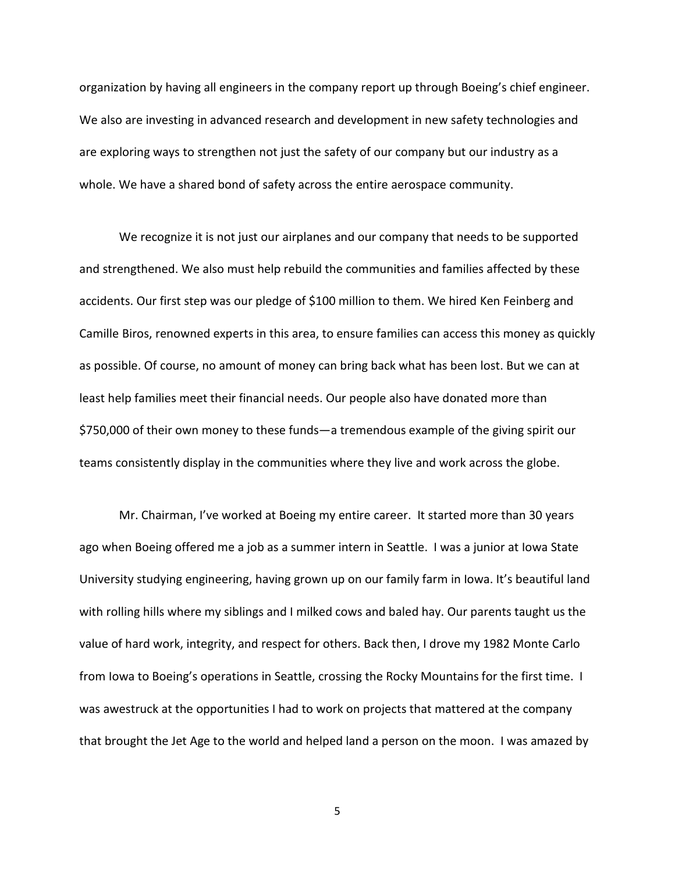organization by having all engineers in the company report up through Boeing's chief engineer. We also are investing in advanced research and development in new safety technologies and are exploring ways to strengthen not just the safety of our company but our industry as a whole. We have a shared bond of safety across the entire aerospace community.

We recognize it is not just our airplanes and our company that needs to be supported and strengthened. We also must help rebuild the communities and families affected by these accidents. Our first step was our pledge of \$100 million to them. We hired Ken Feinberg and Camille Biros, renowned experts in this area, to ensure families can access this money as quickly as possible. Of course, no amount of money can bring back what has been lost. But we can at least help families meet their financial needs. Our people also have donated more than \$750,000 of their own money to these funds—a tremendous example of the giving spirit our teams consistently display in the communities where they live and work across the globe.

Mr. Chairman, I've worked at Boeing my entire career. It started more than 30 years ago when Boeing offered me a job as a summer intern in Seattle. I was a junior at Iowa State University studying engineering, having grown up on our family farm in Iowa. It's beautiful land with rolling hills where my siblings and I milked cows and baled hay. Our parents taught us the value of hard work, integrity, and respect for others. Back then, I drove my 1982 Monte Carlo from Iowa to Boeing's operations in Seattle, crossing the Rocky Mountains for the first time. I was awestruck at the opportunities I had to work on projects that mattered at the company that brought the Jet Age to the world and helped land a person on the moon. I was amazed by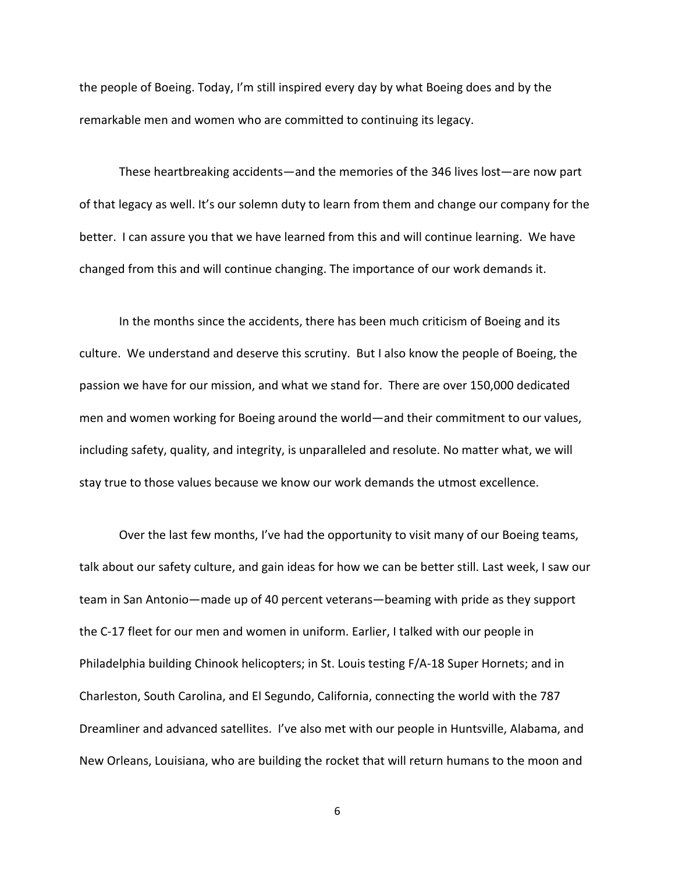the people of Boeing. Today, I'm still inspired every day by what Boeing does and by the remarkable men and women who are committed to continuing its legacy.

These heartbreaking accidents—and the memories of the 346 lives lost—are now part of that legacy as well. It's our solemn duty to learn from them and change our company for the better. I can assure you that we have learned from this and will continue learning. We have changed from this and will continue changing. The importance of our work demands it.

In the months since the accidents, there has been much criticism of Boeing and its culture. We understand and deserve this scrutiny. But I also know the people of Boeing, the passion we have for our mission, and what we stand for. There are over 150,000 dedicated men and women working for Boeing around the world—and their commitment to our values, including safety, quality, and integrity, is unparalleled and resolute. No matter what, we will stay true to those values because we know our work demands the utmost excellence.

Over the last few months, I've had the opportunity to visit many of our Boeing teams, talk about our safety culture, and gain ideas for how we can be better still. Last week, I saw our team in San Antonio—made up of 40 percent veterans—beaming with pride as they support the C-17 fleet for our men and women in uniform. Earlier, I talked with our people in Philadelphia building Chinook helicopters; in St. Louis testing F/A-18 Super Hornets; and in Charleston, South Carolina, and El Segundo, California, connecting the world with the 787 Dreamliner and advanced satellites. I've also met with our people in Huntsville, Alabama, and New Orleans, Louisiana, who are building the rocket that will return humans to the moon and